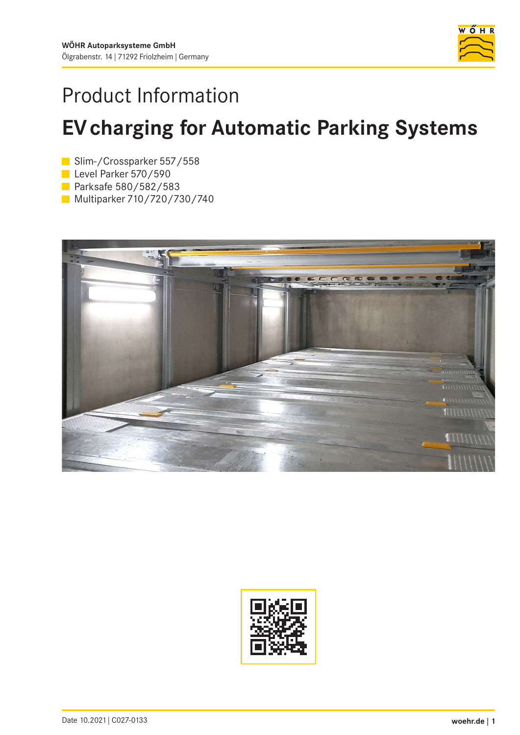

# Product Information

# **EV charging for Automatic Parking Systems**

Slim-/Crossparker 557/558

- Level Parker 570/590
- Parksafe 580/582/583
- **Multiparker 710/720/730/740**